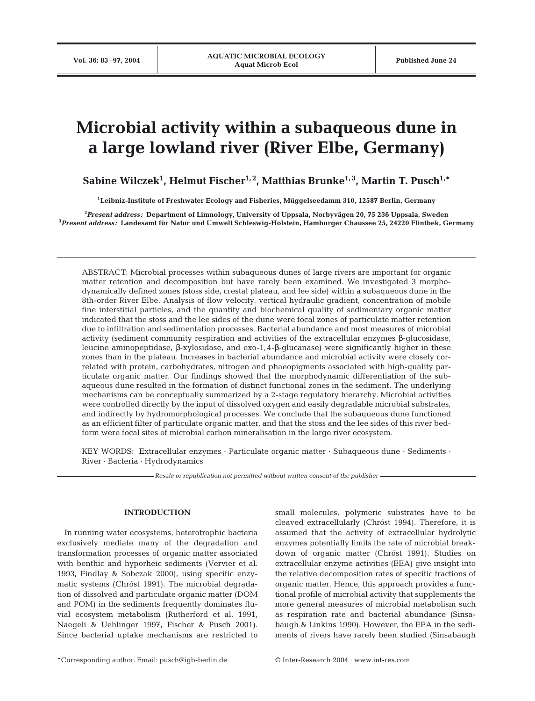# **Microbial activity within a subaqueous dune in a large lowland river (River Elbe, Germany)**

**Sabine Wilczek1 , Helmut Fischer1, 2, Matthias Brunke1, 3, Martin T. Pusch1,\***

**1Leibniz-Institute of Freshwater Ecology and Fisheries, Müggelseedamm 310, 12587 Berlin, Germany**

**2** *Present address:* **Department of Limnology, University of Uppsala, Norbyvägen 20, 75 236 Uppsala, Sweden 3** *Present address:* **Landesamt für Natur und Umwelt Schleswig-Holstein, Hamburger Chaussee 25, 24220 Flintbek, Germany**

ABSTRACT: Microbial processes within subaqueous dunes of large rivers are important for organic matter retention and decomposition but have rarely been examined. We investigated 3 morphodynamically defined zones (stoss side, crestal plateau, and lee side) within a subaqueous dune in the 8th-order River Elbe. Analysis of flow velocity, vertical hydraulic gradient, concentration of mobile fine interstitial particles, and the quantity and biochemical quality of sedimentary organic matter indicated that the stoss and the lee sides of the dune were focal zones of particulate matter retention due to infiltration and sedimentation processes. Bacterial abundance and most measures of microbial activity (sediment community respiration and activities of the extracellular enzymes β-glucosidase, leucine aminopeptidase, β-xylosidase, and exo-1,4-β-glucanase) were significantly higher in these zones than in the plateau. Increases in bacterial abundance and microbial activity were closely correlated with protein, carbohydrates, nitrogen and phaeopigments associated with high-quality particulate organic matter. Our findings showed that the morphodynamic differentiation of the subaqueous dune resulted in the formation of distinct functional zones in the sediment. The underlying mechanisms can be conceptually summarized by a 2-stage regulatory hierarchy. Microbial activities were controlled directly by the input of dissolved oxygen and easily degradable microbial substrates, and indirectly by hydromorphological processes. We conclude that the subaqueous dune functioned as an efficient filter of particulate organic matter, and that the stoss and the lee sides of this river bedform were focal sites of microbial carbon mineralisation in the large river ecosystem.

KEY WORDS: Extracellular enzymes · Particulate organic matter · Subaqueous dune · Sediments · River · Bacteria · Hydrodynamics

*Resale or republication not permitted without written consent of the publisher*

#### **INTRODUCTION**

In running water ecosystems, heterotrophic bacteria exclusively mediate many of the degradation and transformation processes of organic matter associated with benthic and hyporheic sediments (Vervier et al. 1993, Findlay & Sobczak 2000), using specific enzymatic systems (Chróst 1991). The microbial degradation of dissolved and particulate organic matter (DOM and POM) in the sediments frequently dominates fluvial ecosystem metabolism (Rutherford et al. 1991, Naegeli & Uehlinger 1997, Fischer & Pusch 2001). Since bacterial uptake mechanisms are restricted to

small molecules, polymeric substrates have to be cleaved extracellularly (Chróst 1994). Therefore, it is assumed that the activity of extracellular hydrolytic enzymes potentially limits the rate of microbial breakdown of organic matter (Chróst 1991). Studies on extracellular enzyme activities (EEA) give insight into the relative decomposition rates of specific fractions of organic matter. Hence, this approach provides a functional profile of microbial activity that supplements the more general measures of microbial metabolism such as respiration rate and bacterial abundance (Sinsabaugh & Linkins 1990). However, the EEA in the sediments of rivers have rarely been studied (Sinsabaugh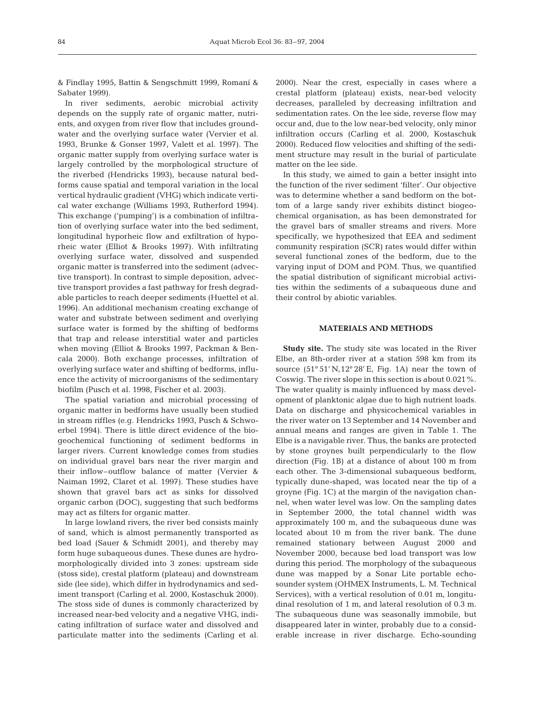& Findlay 1995, Battin & Sengschmitt 1999, Romaní & Sabater 1999).

In river sediments, aerobic microbial activity depends on the supply rate of organic matter, nutrients, and oxygen from river flow that includes groundwater and the overlying surface water (Vervier et al. 1993, Brunke & Gonser 1997, Valett et al. 1997). The organic matter supply from overlying surface water is largely controlled by the morphological structure of the riverbed (Hendricks 1993), because natural bedforms cause spatial and temporal variation in the local vertical hydraulic gradient (VHG) which indicate vertical water exchange (Williams 1993, Rutherford 1994). This exchange ('pumping') is a combination of infiltration of overlying surface water into the bed sediment, longitudinal hyporheic flow and exfiltration of hyporheic water (Elliot & Brooks 1997). With infiltrating overlying surface water, dissolved and suspended organic matter is transferred into the sediment (advective transport). In contrast to simple deposition, advective transport provides a fast pathway for fresh degradable particles to reach deeper sediments (Huettel et al. 1996). An additional mechanism creating exchange of water and substrate between sediment and overlying surface water is formed by the shifting of bedforms that trap and release interstitial water and particles when moving (Elliot & Brooks 1997, Packman & Bencala 2000). Both exchange processes, infiltration of overlying surface water and shifting of bedforms, influence the activity of microorganisms of the sedimentary biofilm (Pusch et al. 1998, Fischer et al. 2003).

The spatial variation and microbial processing of organic matter in bedforms have usually been studied in stream riffles (e.g. Hendricks 1993, Pusch & Schwoerbel 1994). There is little direct evidence of the biogeochemical functioning of sediment bedforms in larger rivers. Current knowledge comes from studies on individual gravel bars near the river margin and their inflow–outflow balance of matter (Vervier & Naiman 1992, Claret et al. 1997). These studies have shown that gravel bars act as sinks for dissolved organic carbon (DOC), suggesting that such bedforms may act as filters for organic matter.

In large lowland rivers, the river bed consists mainly of sand, which is almost permanently transported as bed load (Sauer & Schmidt 2001), and thereby may form huge subaqueous dunes. These dunes are hydromorphologically divided into 3 zones: upstream side (stoss side), crestal platform (plateau) and downstream side (lee side), which differ in hydrodynamics and sediment transport (Carling et al. 2000, Kostaschuk 2000). The stoss side of dunes is commonly characterized by increased near-bed velocity and a negative VHG, indicating infiltration of surface water and dissolved and particulate matter into the sediments (Carling et al.

2000). Near the crest, especially in cases where a crestal platform (plateau) exists, near-bed velocity decreases, paralleled by decreasing infiltration and sedimentation rates. On the lee side, reverse flow may occur and, due to the low near-bed velocity, only minor infiltration occurs (Carling et al. 2000, Kostaschuk 2000). Reduced flow velocities and shifting of the sediment structure may result in the burial of particulate matter on the lee side.

In this study, we aimed to gain a better insight into the function of the river sediment 'filter'. Our objective was to determine whether a sand bedform on the bottom of a large sandy river exhibits distinct biogeochemical organisation, as has been demonstrated for the gravel bars of smaller streams and rivers. More specifically, we hypothesized that EEA and sediment community respiration (SCR) rates would differ within several functional zones of the bedform, due to the varying input of DOM and POM. Thus, we quantified the spatial distribution of significant microbial activities within the sediments of a subaqueous dune and their control by abiotic variables.

# **MATERIALS AND METHODS**

**Study site.** The study site was located in the River Elbe, an 8th-order river at a station 598 km from its source (51° 51' N,12° 28' E, Fig. 1A) near the town of Coswig. The river slope in this section is about 0.021%. The water quality is mainly influenced by mass development of planktonic algae due to high nutrient loads. Data on discharge and physicochemical variables in the river water on 13 September and 14 November and annual means and ranges are given in Table 1. The Elbe is a navigable river. Thus, the banks are protected by stone groynes built perpendicularly to the flow direction (Fig. 1B) at a distance of about 100 m from each other. The 3-dimensional subaqueous bedform, typically dune-shaped, was located near the tip of a groyne (Fig. 1C) at the margin of the navigation channel, when water level was low. On the sampling dates in September 2000, the total channel width was approximately 100 m, and the subaqueous dune was located about 10 m from the river bank. The dune remained stationary between August 2000 and November 2000, because bed load transport was low during this period. The morphology of the subaqueous dune was mapped by a Sonar Lite portable echosounder system (OHMEX Instruments, L. M. Technical Services), with a vertical resolution of 0.01 m, longitudinal resolution of 1 m, and lateral resolution of 0.3 m. The subaqueous dune was seasonally immobile, but disappeared later in winter, probably due to a considerable increase in river discharge. Echo-sounding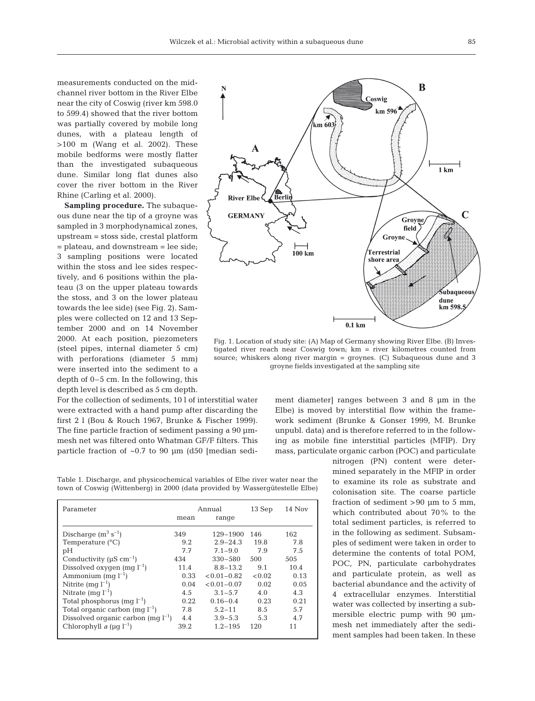measurements conducted on the midchannel river bottom in the River Elbe near the city of Coswig (river km 598.0 to 599.4) showed that the river bottom was partially covered by mobile long dunes, with a plateau length of >100 m (Wang et al. 2002). These mobile bedforms were mostly flatter than the investigated subaqueous dune. Similar long flat dunes also cover the river bottom in the River Rhine (Carling et al. 2000).

**Sampling procedure.** The subaqueous dune near the tip of a groyne was sampled in 3 morphodynamical zones, upstream = stoss side, crestal platform = plateau, and downstream = lee side; 3 sampling positions were located within the stoss and lee sides respectively, and 6 positions within the plateau (3 on the upper plateau towards the stoss, and 3 on the lower plateau towards the lee side) (see Fig. 2). Samples were collected on 12 and 13 September 2000 and on 14 November 2000. At each position, piezometers (steel pipes, internal diameter 5 cm) with perforations (diameter 5 mm) were inserted into the sediment to a depth of 0–5 cm. In the following, this depth level is described as 5 cm depth.

For the collection of sediments, 10 l of interstitial water were extracted with a hand pump after discarding the first 2 l (Bou & Rouch 1967, Brunke & Fischer 1999). The fine particle fraction of sediment passing a 90  $\mu$ mmesh net was filtered onto Whatman GF/F filters. This particle fraction of  $\sim 0.7$  to 90  $\mu$ m (d50 [median sedi-

Table 1. Discharge, and physicochemical variables of Elbe river water near the town of Coswig (Wittenberg) in 2000 (data provided by Wassergütestelle Elbe)

| Parameter                                 |      | Annual          | 13 Sep | $14$ Nov |
|-------------------------------------------|------|-----------------|--------|----------|
|                                           | mean | range           |        |          |
| Discharge $(m^3 s^{-1})$                  | 349  | $129 - 1900$    | 146    | 162      |
| Temperature $(^{\circ}C)$                 | 9.2  | $2.9 - 24.3$    | 19.8   | 7.8      |
| pH                                        | 7.7  | $7.1 - 9.0$     | 7.9    | 7.5      |
| Conductivity ( $\mu$ S cm <sup>-1</sup> ) | 434  | $330 - 580$     | 500    | 505      |
| Dissolved oxygen $(mq l^{-1})$            | 11.4 | $8.8 - 13.2$    | 9.1    | 10.4     |
| Ammonium (mg $l^{-1}$ )                   | 0.33 | $< 0.01 - 0.82$ | < 0.02 | 0.13     |
| Nitrite $(mq l^{-1})$                     | 0.04 | $< 0.01 - 0.07$ | 0.02   | 0.05     |
| Nitrate $(mq l^{-1})$                     | 4.5  | $3.1 - 5.7$     | 4.0    | 4.3      |
| Total phosphorus $(mq l^{-1})$            | 0.22 | $0.16 - 0.4$    | 0.23   | 0.21     |
| Total organic carbon $(mq l^{-1})$        | 7.8  | $5.2 - 11$      | 8.5    | 5.7      |
| Dissolved organic carbon $(mq l^{-1})$    | 4.4  | $3.9 - 5.3$     | 5.3    | 4.7      |
| Chlorophyll a $(\mu q l^{-1})$            | 39.2 | $1.2 - 195$     | 120    | 11       |
|                                           |      |                 |        |          |



Fig. 1. Location of study site: (A) Map of Germany showing River Elbe. (B) Investigated river reach near Coswig town; km = river kilometres counted from source; whiskers along river margin = groynes. (C) Subaqueous dune and 3 groyne fields investigated at the sampling site

ment diameter] ranges between 3 and 8 µm in the Elbe) is moved by interstitial flow within the framework sediment (Brunke & Gonser 1999, M. Brunke unpubl. data) and is therefore referred to in the following as mobile fine interstitial particles (MFIP). Dry mass, particulate organic carbon (POC) and particulate

> nitrogen (PN) content were determined separately in the MFIP in order to examine its role as substrate and colonisation site. The coarse particle fraction of sediment >90 µm to 5 mm, which contributed about 70% to the total sediment particles, is referred to in the following as sediment. Subsamples of sediment were taken in order to determine the contents of total POM, POC, PN, particulate carbohydrates and particulate protein, as well as bacterial abundance and the activity of 4 extracellular enzymes. Interstitial water was collected by inserting a submersible electric pump with 90 µmmesh net immediately after the sediment samples had been taken. In these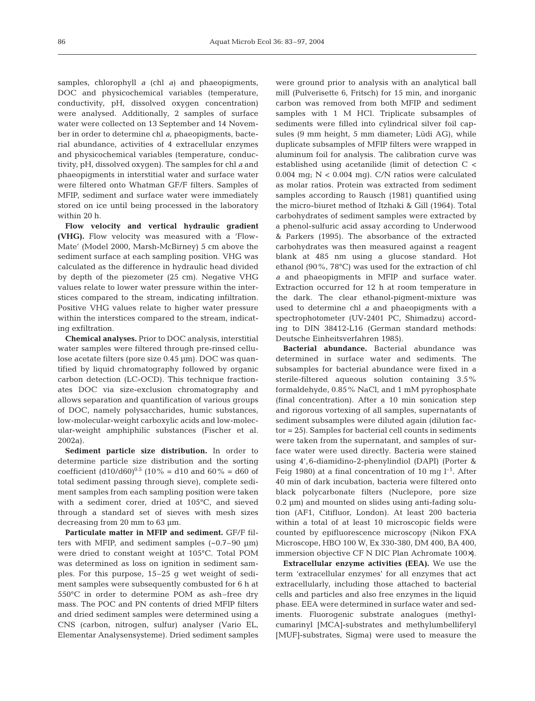samples, chlorophyll *a* (chl *a)* and phaeopigments, DOC and physicochemical variables (temperature, conductivity, pH, dissolved oxygen concentration) were analysed. Additionally, 2 samples of surface water were collected on 13 September and 14 November in order to determine chl *a*, phaeopigments, bacterial abundance, activities of 4 extracellular enzymes and physicochemical variables (temperature, conductivity, pH, dissolved oxygen). The samples for chl *a* and phaeopigments in interstitial water and surface water were filtered onto Whatman GF/F filters. Samples of MFIP, sediment and surface water were immediately stored on ice until being processed in the laboratory within 20 h.

**Flow velocity and vertical hydraulic gradient (VHG).** Flow velocity was measured with a 'Flow-Mate' (Model 2000, Marsh-McBirney) 5 cm above the sediment surface at each sampling position. VHG was calculated as the difference in hydraulic head divided by depth of the piezometer (25 cm). Negative VHG values relate to lower water pressure within the interstices compared to the stream, indicating infiltration. Positive VHG values relate to higher water pressure within the interstices compared to the stream, indicating exfiltration.

**Chemical analyses.** Prior to DOC analysis, interstitial water samples were filtered through pre-rinsed cellulose acetate filters (pore size 0.45 µm). DOC was quantified by liquid chromatography followed by organic carbon detection (LC-OCD). This technique fractionates DOC via size-exclusion chromatography and allows separation and quantification of various groups of DOC, namely polysaccharides, humic substances, low-molecular-weight carboxylic acids and low-molecular-weight amphiphilic substances (Fischer et al. 2002a).

**Sediment particle size distribution.** In order to determine particle size distribution and the sorting coefficient  $(d10/d60)^{0.5}$  (10% = d10 and 60% = d60 of total sediment passing through sieve), complete sediment samples from each sampling position were taken with a sediment corer, dried at 105°C, and sieved through a standard set of sieves with mesh sizes decreasing from 20 mm to 63 µm.

**Particulate matter in MFIP and sediment.** GF/F filters with MFIP, and sediment samples  $(-0.7-90 \text{ }\mu\text{m})$ were dried to constant weight at 105°C. Total POM was determined as loss on ignition in sediment samples. For this purpose, 15–25 g wet weight of sediment samples were subsequently combusted for 6 h at 550°C in order to determine POM as ash–free dry mass. The POC and PN contents of dried MFIP filters and dried sediment samples were determined using a CNS (carbon, nitrogen, sulfur) analyser (Vario EL, Elementar Analysensysteme). Dried sediment samples

were ground prior to analysis with an analytical ball mill (Pulverisette 6, Fritsch) for 15 min, and inorganic carbon was removed from both MFIP and sediment samples with 1 M HCl. Triplicate subsamples of sediments were filled into cylindrical silver foil capsules (9 mm height, 5 mm diameter; Lüdi AG), while duplicate subsamples of MFIP filters were wrapped in aluminum foil for analysis. The calibration curve was established using acetanilide (limit of detection C < 0.004 mg;  $N < 0.004$  mg). C/N ratios were calculated as molar ratios. Protein was extracted from sediment samples according to Rausch (1981) quantified using the micro-biuret method of Itzhaki & Gill (1964). Total carbohydrates of sediment samples were extracted by a phenol-sulfuric acid assay according to Underwood & Parkers (1995). The absorbance of the extracted carbohydrates was then measured against a reagent blank at 485 nm using a glucose standard. Hot ethanol (90%, 78°C) was used for the extraction of chl *a* and phaeopigments in MFIP and surface water. Extraction occurred for 12 h at room temperature in the dark. The clear ethanol-pigment-mixture was used to determine chl *a* and phaeopigments with a spectrophotometer (UV-2401 PC, Shimadzu) according to DIN 38412-L16 (German standard methods: Deutsche Einheitsverfahren 1985).

**Bacterial abundance.** Bacterial abundance was determined in surface water and sediments. The subsamples for bacterial abundance were fixed in a sterile-filtered aqueous solution containing 3.5% formaldehyde, 0.85% NaCl, and 1 mM pyrophosphate (final concentration). After a 10 min sonication step and rigorous vortexing of all samples, supernatants of sediment subsamples were diluted again (dilution factor = 25). Samples for bacterial cell counts in sediments were taken from the supernatant, and samples of surface water were used directly. Bacteria were stained using 4',6-diamidino-2-phenylindiol (DAPI) (Porter & Feig 1980) at a final concentration of 10 mg  $l^{-1}$ . After 40 min of dark incubation, bacteria were filtered onto black polycarbonate filters (Nuclepore, pore size 0.2 µm) and mounted on slides using anti-fading solution (AF1, Citifluor, London). At least 200 bacteria within a total of at least 10 microscopic fields were counted by epifluorescence microscopy (Nikon FXA Microscope, HBO 100 W, Ex 330-380, DM 400, BA 400, immersion objective CF N DIC Plan Achromate 100×).

**Extracellular enzyme activities (EEA).** We use the term 'extracellular enzymes' for all enzymes that act extracellularly, including those attached to bacterial cells and particles and also free enzymes in the liquid phase. EEA were determined in surface water and sediments. Fluorogenic substrate analogues (methylcumarinyl [MCA]-substrates and methylumbelliferyl [MUF]-substrates, Sigma) were used to measure the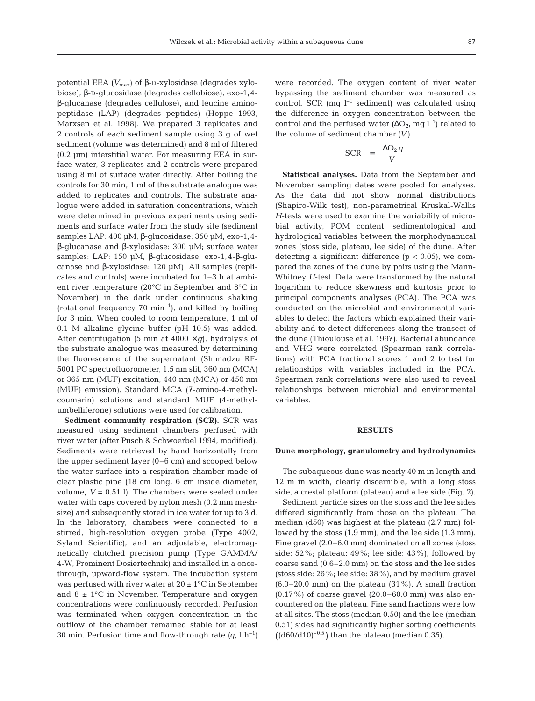potential EEA *(V*max) of β-D-xylosidase (degrades xylobiose), β-D-glucosidase (degrades cellobiose), exo-1,4 β-glucanase (degrades cellulose), and leucine aminopeptidase (LAP) (degrades peptides) (Hoppe 1993, Marxsen et al. 1998). We prepared 3 replicates and 2 controls of each sediment sample using 3 g of wet sediment (volume was determined) and 8 ml of filtered (0.2 µm) interstitial water. For measuring EEA in surface water, 3 replicates and 2 controls were prepared using 8 ml of surface water directly. After boiling the controls for 30 min, 1 ml of the substrate analogue was added to replicates and controls. The substrate analogue were added in saturation concentrations, which were determined in previous experiments using sediments and surface water from the study site (sediment samples LAP: 400 µM, β-glucosidase: 350 µM, exo-1,4 β-glucanase and β-xylosidase: 300 µM; surface water samples: LAP: 150 µM, β-glucosidase, exo-1,4-β-glucanase and β-xylosidase: 120 µM). All samples (replicates and controls) were incubated for 1–3 h at ambient river temperature (20°C in September and 8°C in November) in the dark under continuous shaking (rotational frequency  $70 \text{ min}^{-1}$ ), and killed by boiling for 3 min. When cooled to room temperature, 1 ml of 0.1 M alkaline glycine buffer (pH 10.5) was added. After centrifugation (5 min at  $4000 \times q$ ), hydrolysis of the substrate analogue was measured by determining the fluorescence of the supernatant (Shimadzu RF-5001 PC spectrofluorometer, 1.5 nm slit, 360 nm (MCA) or 365 nm (MUF) excitation, 440 nm (MCA) or 450 nm (MUF) emission). Standard MCA (7-amino-4-methylcoumarin) solutions and standard MUF (4-methylumbelliferone) solutions were used for calibration.

**Sediment community respiration (SCR).** SCR was measured using sediment chambers perfused with river water (after Pusch & Schwoerbel 1994, modified). Sediments were retrieved by hand horizontally from the upper sediment layer (0–6 cm) and scooped below the water surface into a respiration chamber made of clear plastic pipe (18 cm long, 6 cm inside diameter, volume,  $V = 0.51$  l). The chambers were sealed under water with caps covered by nylon mesh (0.2 mm meshsize) and subsequently stored in ice water for up to 3 d. In the laboratory, chambers were connected to a stirred, high-resolution oxygen probe (Type 4002, Syland Scientific), and an adjustable, electromagnetically clutched precision pump (Type GAMMA/ 4-W, Prominent Dosiertechnik) and installed in a oncethrough, upward-flow system. The incubation system was perfused with river water at  $20 \pm 1$ °C in September and  $8 \pm 1^{\circ}\text{C}$  in November. Temperature and oxygen concentrations were continuously recorded. Perfusion was terminated when oxygen concentration in the outflow of the chamber remained stable for at least 30 min. Perfusion time and flow-through rate  $(q, l \, h^{-1})$ 

were recorded. The oxygen content of river water bypassing the sediment chamber was measured as control. SCR (mq  $l^{-1}$  sediment) was calculated using the difference in oxygen concentration between the control and the perfused water ( $\Delta O_2$ , mg l<sup>-1</sup>) related to the volume of sediment chamber *(V)*

$$
SCR = \frac{\Delta O_2 q}{V}
$$

**Statistical analyses.** Data from the September and November sampling dates were pooled for analyses. As the data did not show normal distributions (Shapiro-Wilk test), non-parametrical Kruskal-Wallis *H*-tests were used to examine the variability of microbial activity, POM content, sedimentological and hydrological variables between the morphodynamical zones (stoss side, plateau, lee side) of the dune. After detecting a significant difference ( $p < 0.05$ ), we compared the zones of the dune by pairs using the Mann-Whitney *U*-test. Data were transformed by the natural logarithm to reduce skewness and kurtosis prior to principal components analyses (PCA). The PCA was conducted on the microbial and environmental variables to detect the factors which explained their variability and to detect differences along the transect of the dune (Thioulouse et al. 1997). Bacterial abundance and VHG were correlated (Spearman rank correlations) with PCA fractional scores 1 and 2 to test for relationships with variables included in the PCA. Spearman rank correlations were also used to reveal relationships between microbial and environmental variables.

#### **RESULTS**

#### **Dune morphology, granulometry and hydrodynamics**

The subaqueous dune was nearly 40 m in length and 12 m in width, clearly discernible, with a long stoss side, a crestal platform (plateau) and a lee side (Fig. 2).

Sediment particle sizes on the stoss and the lee sides differed significantly from those on the plateau. The median (d50) was highest at the plateau (2.7 mm) followed by the stoss (1.9 mm), and the lee side (1.3 mm). Fine gravel (2.0–6.0 mm) dominated on all zones (stoss side: 52%; plateau: 49%; lee side: 43%), followed by coarse sand (0.6–2.0 mm) on the stoss and the lee sides (stoss side: 26%; lee side: 38%), and by medium gravel  $(6.0-20.0 \text{ mm})$  on the plateau  $(31\%)$ . A small fraction  $(0.17\%)$  of coarse gravel  $(20.0-60.0 \text{ mm})$  was also encountered on the plateau. Fine sand fractions were low at all sites. The stoss (median 0.50) and the lee (median 0.51) sides had significantly higher sorting coefficients  $((d60/d10)^{-0.5})$  than the plateau (median 0.35).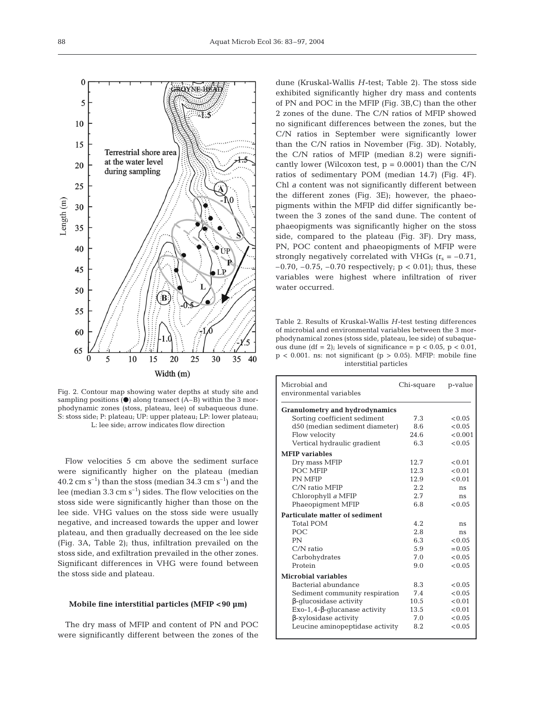

Fig. 2. Contour map showing water depths at study site and sampling positions  $(\bullet)$  along transect (A–B) within the 3 morphodynamic zones (stoss, plateau, lee) of subaqueous dune. S: stoss side; P: plateau; UP: upper plateau; LP: lower plateau; L: lee side; arrow indicates flow direction

Flow velocities 5 cm above the sediment surface were significantly higher on the plateau (median  $40.2 \text{ cm s}^{-1}$ ) than the stoss (median 34.3 cm s<sup>-1</sup>) and the lee (median 3.3 cm  $s^{-1}$ ) sides. The flow velocities on the stoss side were significantly higher than those on the lee side. VHG values on the stoss side were usually negative, and increased towards the upper and lower plateau, and then gradually decreased on the lee side (Fig. 3A, Table 2); thus, infiltration prevailed on the stoss side, and exfiltration prevailed in the other zones. Significant differences in VHG were found between the stoss side and plateau.

# **Mobile fine interstitial particles (MFIP <90 µm)**

The dry mass of MFIP and content of PN and POC were significantly different between the zones of the

dune (Kruskal-Wallis *H*-test; Table 2). The stoss side exhibited significantly higher dry mass and contents of PN and POC in the MFIP (Fig. 3B,C) than the other 2 zones of the dune. The C/N ratios of MFIP showed no significant differences between the zones, but the C/N ratios in September were significantly lower than the C/N ratios in November (Fig. 3D). Notably, the C/N ratios of MFIP (median 8.2) were significantly lower (Wilcoxon test,  $p = 0.0001$ ) than the C/N ratios of sedimentary POM (median 14.7) (Fig. 4F). Chl *a* content was not significantly different between the different zones (Fig. 3E); however, the phaeopigments within the MFIP did differ significantly between the 3 zones of the sand dune. The content of phaeopigments was significantly higher on the stoss side, compared to the plateau (Fig. 3F). Dry mass, PN, POC content and phaeopigments of MFIP were strongly negatively correlated with VHGs  $(r_s = -0.71$ , –0.70, –0.75, –0.70 respectively; p < 0.01); thus, these variables were highest where infiltration of river water occurred.

Table 2. Results of Kruskal-Wallis *H*-test testing differences of microbial and environmental variables between the 3 morphodynamical zones (stoss side, plateau, lee side) of subaqueous dune (df = 2); levels of significance =  $p$  < 0.05,  $p$  < 0.01,  $p < 0.001$ . ns: not significant ( $p > 0.05$ ). MFIP: mobile fine interstitial particles

| Microbial and<br>environmental variables | Chi-square | p-value  |  |  |  |  |  |
|------------------------------------------|------------|----------|--|--|--|--|--|
| <b>Granulometry and hydrodynamics</b>    |            |          |  |  |  |  |  |
| Sorting coefficient sediment             | 7.3        | < 0.05   |  |  |  |  |  |
| d50 (median sediment diameter)           | 8.6        | < 0.05   |  |  |  |  |  |
| Flow velocity                            | 24.6       | < 0.001  |  |  |  |  |  |
| Vertical hydraulic gradient              | 6.3        | < 0.05   |  |  |  |  |  |
| <b>MFIP</b> variables                    |            |          |  |  |  |  |  |
| Dry mass MFIP                            | 12.7       | < 0.01   |  |  |  |  |  |
| POC MFIP                                 | 12.3       | < 0.01   |  |  |  |  |  |
| <b>PN MFIP</b>                           | 12.9       | < 0.01   |  |  |  |  |  |
| C/N ratio MFIP                           | 2.2        | ns       |  |  |  |  |  |
| Chlorophyll a MFIP                       | 2.7        | ns       |  |  |  |  |  |
| Phaeopigment MFIP                        | 6.8        | < 0.05   |  |  |  |  |  |
| Particulate matter of sediment           |            |          |  |  |  |  |  |
| <b>Total POM</b>                         | 4.2.       | ns       |  |  |  |  |  |
| POC.                                     | 2.8        | ns       |  |  |  |  |  |
| PN                                       | 6.3        | < 0.05   |  |  |  |  |  |
| $C/N$ ratio                              | 5.9        | $= 0.05$ |  |  |  |  |  |
| Carbohydrates                            | 7.0        | < 0.05   |  |  |  |  |  |
| Protein                                  | 9.0        | < 0.05   |  |  |  |  |  |
| <b>Microbial variables</b>               |            |          |  |  |  |  |  |
| Bacterial abundance                      | 8.3        | < 0.05   |  |  |  |  |  |
| Sediment community respiration           | 7.4        | < 0.05   |  |  |  |  |  |
| β-qlucosidase activity                   | 10.5       | < 0.01   |  |  |  |  |  |
| $Exo-1, 4-\beta$ -glucanase activity     | 13.5       | < 0.01   |  |  |  |  |  |
| $\beta$ -xylosidase activity             | 7.0        | < 0.05   |  |  |  |  |  |
| Leucine aminopeptidase activity          | 8.2        | < 0.05   |  |  |  |  |  |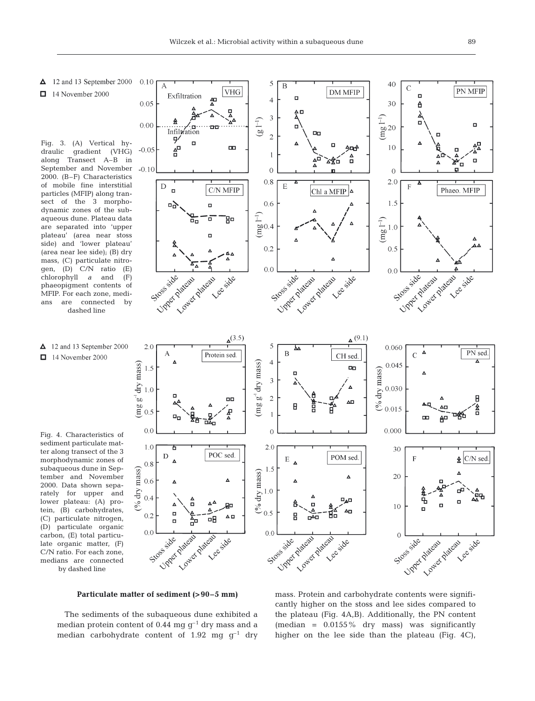- $\Delta$  12 and 13 September 2000
- $\Box$  14 November 2000

Fig. 3. (A) Vertical hydraulic gradient (VHG) along Transect A–B in September and November 2000. (B–F) Characteristics of mobile fine interstitial particles (MFIP) along transect of the 3 morphodynamic zones of the subaqueous dune. Plateau data are separated into 'upper plateau' (area near stoss side) and 'lower plateau' (area near lee side); (B) dry mass, (C) particulate nitrogen, (D) C/N ratio (E) chlorophyll *a* and (F) phaeopigment contents of MFIP. For each zone, medians are connected by dashed line

 $\triangle$  12 and 13 September 2000  $\Box$  14 November 2000

Fig. 4. Characteristics of sediment particulate matter along transect of the 3 morphodynamic zones of subaqueous dune in September and November 2000. Data shown separately for upper and lower plateau: (A) protein, (B) carbohydrates, (C) particulate nitrogen, (D) particulate organic carbon, (E) total particulate organic matter, (F) C/N ratio. For each zone, medians are connected by dashed line



# **Particulate matter of sediment (>90–5 mm)**

The sediments of the subaqueous dune exhibited a median protein content of 0.44 mg  $g^{-1}$  dry mass and a median carbohydrate content of 1.92 mg  $g^{-1}$  dry

cantly higher on the stoss and lee sides compared to the plateau (Fig. 4A,B). Additionally, the PN content (median = 0.0155% dry mass) was significantly higher on the lee side than the plateau (Fig. 4C),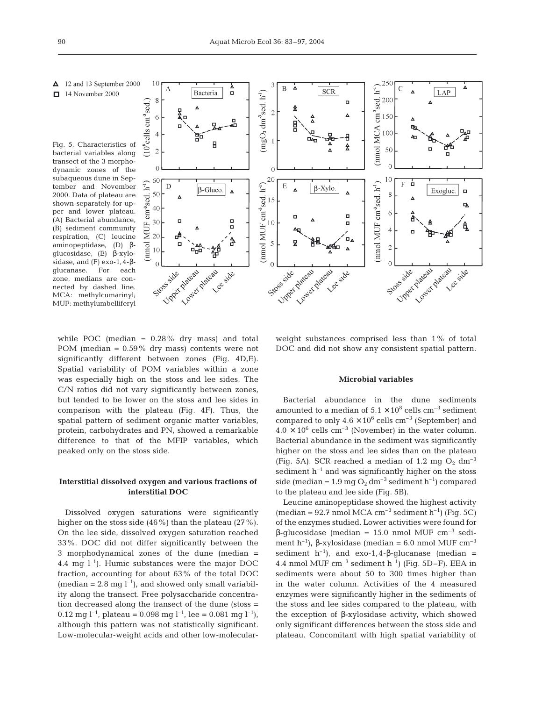$\triangle$  12 and 13 September 2000  $\Box$  14 November 2000

Fig. 5. Characteristics of bacterial variables along transect of the 3 morphodynamic zones of the subaqueous dune in September and November 2000. Data of plateau are shown separately for upper and lower plateau. (A) Bacterial abundance, (B) sediment community respiration,  $(C)$  leucine<br>aminopeptidase,  $(D)$   $\beta$ aminopeptidase, glucosidase, (E) β-xylosidase, and (F) exo-1,4-βglucanase. For each zone, medians are connected by dashed line. MCA: methylcumarinyl; MUF: methylumbelliferyl



while POC (median  $= 0.28\%$  dry mass) and total POM (median = 0.59% dry mass) contents were not significantly different between zones (Fig. 4D,E). Spatial variability of POM variables within a zone was especially high on the stoss and lee sides. The C/N ratios did not vary significantly between zones, but tended to be lower on the stoss and lee sides in comparison with the plateau (Fig. 4F). Thus, the spatial pattern of sediment organic matter variables, protein, carbohydrates and PN, showed a remarkable difference to that of the MFIP variables, which peaked only on the stoss side.

# **Interstitial dissolved oxygen and various fractions of interstitial DOC**

Dissolved oxygen saturations were significantly higher on the stoss side (46%) than the plateau (27%). On the lee side, dissolved oxygen saturation reached 33%. DOC did not differ significantly between the 3 morphodynamical zones of the dune (median = 4.4 mg  $l^{-1}$ ). Humic substances were the major DOC fraction, accounting for about 63% of the total DOC (median = 2.8 mg  $l^{-1}$ ), and showed only small variability along the transect. Free polysaccharide concentration decreased along the transect of the dune (stoss = 0.12 mg  $l^{-1}$ , plateau = 0.098 mg  $l^{-1}$ , lee = 0.081 mg  $l^{-1}$ ), although this pattern was not statistically significant. Low-molecular-weight acids and other low-molecularweight substances comprised less than 1% of total DOC and did not show any consistent spatial pattern.

# **Microbial variables**

Bacterial abundance in the dune sediments amounted to a median of  $5.1 \times 10^8$  cells cm<sup>-3</sup> sediment compared to only  $4.6 \times 10^6$  cells cm<sup>-3</sup> (September) and  $4.0 \times 10^6$  cells cm<sup>-3</sup> (November) in the water column. Bacterial abundance in the sediment was significantly higher on the stoss and lee sides than on the plateau (Fig. 5A). SCR reached a median of 1.2 mg  $O_2$  dm<sup>-3</sup> sediment  $h^{-1}$  and was significantly higher on the stoss side (median =  $1.9 \text{ mg } O_2 \text{ dm}^{-3}$  sediment h<sup>-1</sup>) compared to the plateau and lee side (Fig. 5B).

Leucine aminopeptidase showed the highest activity (median = 92.7 nmol MCA  $cm^{-3}$  sediment h<sup>-1</sup>) (Fig. 5C) of the enzymes studied. Lower activities were found for β-glucosidase (median = 15.0 nmol MUF cm–3 sediment h<sup>-1</sup>), β-xylosidase (median = 6.0 nmol MUF cm<sup>-3</sup> sediment  $h^{-1}$ ), and exo-1,4-β-glucanase (median = 4.4 nmol MUF  $cm^{-3}$  sediment  $h^{-1}$ ) (Fig. 5D–F). EEA in sediments were about 50 to 300 times higher than in the water column. Activities of the 4 measured enzymes were significantly higher in the sediments of the stoss and lee sides compared to the plateau, with the exception of β-xylosidase activity, which showed only significant differences between the stoss side and plateau. Concomitant with high spatial variability of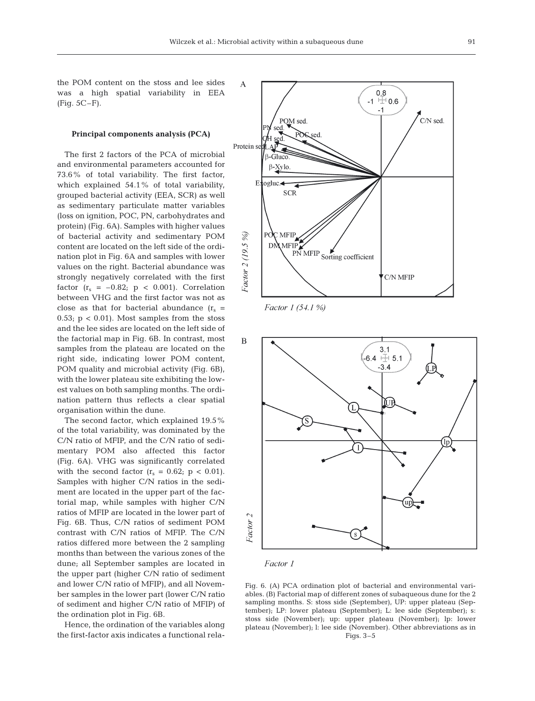the POM content on the stoss and lee sides was a high spatial variability in EEA (Fig. 5C–F).

#### **Principal components analysis (PCA)**

The first 2 factors of the PCA of microbial and environmental parameters accounted for 73.6% of total variability. The first factor, which explained 54.1% of total variability, grouped bacterial activity (EEA, SCR) as well as sedimentary particulate matter variables (loss on ignition, POC, PN, carbohydrates and protein) (Fig. 6A). Samples with higher values of bacterial activity and sedimentary POM content are located on the left side of the ordination plot in Fig. 6A and samples with lower values on the right. Bacterial abundance was strongly negatively correlated with the first factor  $(r_s = -0.82; p < 0.001)$ . Correlation between VHG and the first factor was not as close as that for bacterial abundance  $(r_s =$ 0.53;  $p < 0.01$ ). Most samples from the stoss and the lee sides are located on the left side of the factorial map in Fig. 6B. In contrast, most samples from the plateau are located on the right side, indicating lower POM content, POM quality and microbial activity (Fig. 6B), with the lower plateau site exhibiting the lowest values on both sampling months. The ordination pattern thus reflects a clear spatial organisation within the dune.

The second factor, which explained 19.5% of the total variability, was dominated by the C/N ratio of MFIP, and the C/N ratio of sedimentary POM also affected this factor (Fig. 6A). VHG was significantly correlated with the second factor  $(r_s = 0.62; p < 0.01)$ . Samples with higher C/N ratios in the sediment are located in the upper part of the factorial map, while samples with higher C/N ratios of MFIP are located in the lower part of Fig. 6B. Thus, C/N ratios of sediment POM contrast with C/N ratios of MFIP. The C/N ratios differed more between the 2 sampling months than between the various zones of the dune; all September samples are located in the upper part (higher C/N ratio of sediment and lower C/N ratio of MFIP), and all November samples in the lower part (lower C/N ratio of sediment and higher C/N ratio of MFIP) of the ordination plot in Fig. 6B.

Hence, the ordination of the variables along the first-factor axis indicates a functional rela-



Factor 1 (54.1 %)





Fig. 6. (A) PCA ordination plot of bacterial and environmental variables. (B) Factorial map of different zones of subaqueous dune for the 2 sampling months. S: stoss side (September), UP: upper plateau (September); LP: lower plateau (September); L: lee side (September); s: stoss side (November); up: upper plateau (November); lp: lower plateau (November); l: lee side (November). Other abbreviations as in Figs. 3–5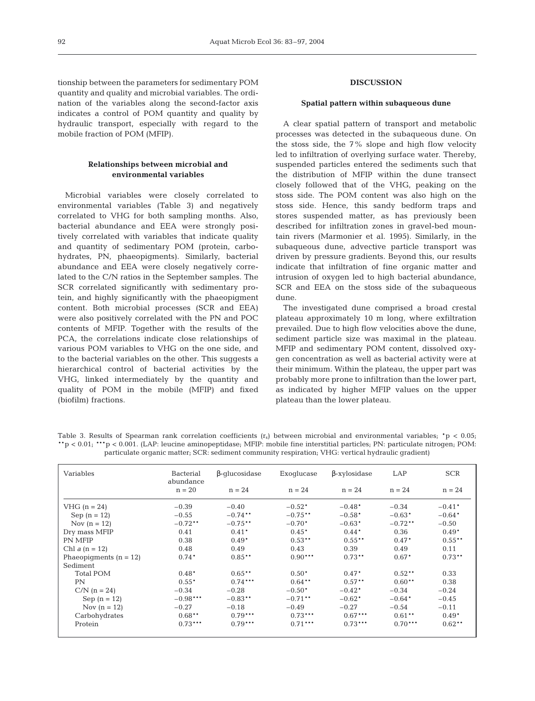tionship between the parameters for sedimentary POM quantity and quality and microbial variables. The ordination of the variables along the second-factor axis indicates a control of POM quantity and quality by hydraulic transport, especially with regard to the mobile fraction of POM (MFIP).

# **Relationships between microbial and environmental variables**

Microbial variables were closely correlated to environmental variables (Table 3) and negatively correlated to VHG for both sampling months. Also, bacterial abundance and EEA were strongly positively correlated with variables that indicate quality and quantity of sedimentary POM (protein, carbohydrates, PN, phaeopigments). Similarly, bacterial abundance and EEA were closely negatively correlated to the C/N ratios in the September samples. The SCR correlated significantly with sedimentary protein, and highly significantly with the phaeopigment content. Both microbial processes (SCR and EEA) were also positively correlated with the PN and POC contents of MFIP. Together with the results of the PCA, the correlations indicate close relationships of various POM variables to VHG on the one side, and to the bacterial variables on the other. This suggests a hierarchical control of bacterial activities by the VHG, linked intermediately by the quantity and quality of POM in the mobile (MFIP) and fixed (biofilm) fractions.

#### **DISCUSSION**

# **Spatial pattern within subaqueous dune**

A clear spatial pattern of transport and metabolic processes was detected in the subaqueous dune. On the stoss side, the  $7\%$  slope and high flow velocity led to infiltration of overlying surface water. Thereby, suspended particles entered the sediments such that the distribution of MFIP within the dune transect closely followed that of the VHG, peaking on the stoss side. The POM content was also high on the stoss side. Hence, this sandy bedform traps and stores suspended matter, as has previously been described for infiltration zones in gravel-bed mountain rivers (Marmonier et al. 1995). Similarly, in the subaqueous dune, advective particle transport was driven by pressure gradients. Beyond this, our results indicate that infiltration of fine organic matter and intrusion of oxygen led to high bacterial abundance, SCR and EEA on the stoss side of the subaqueous dune.

The investigated dune comprised a broad crestal plateau approximately 10 m long, where exfiltration prevailed. Due to high flow velocities above the dune, sediment particle size was maximal in the plateau. MFIP and sedimentary POM content, dissolved oxygen concentration as well as bacterial activity were at their minimum. Within the plateau, the upper part was probably more prone to infiltration than the lower part, as indicated by higher MFIP values on the upper plateau than the lower plateau.

Table 3. Results of Spearman rank correlation coefficients  $(r_s)$  between microbial and environmental variables;  $\dot{r}$   $\dot{p}$  < 0.05; \*\*p < 0.01; \*\*\*p < 0.001. (LAP: leucine aminopeptidase; MFIP: mobile fine interstitial particles; PN: particulate nitrogen; POM: particulate organic matter; SCR: sediment community respiration; VHG: vertical hydraulic gradient)

| Variables                | <b>Bacterial</b><br>abundance | $\beta$ -qlucosidase | Exoglucase | $\beta$ -xylosidase | LAP       | <b>SCR</b> |
|--------------------------|-------------------------------|----------------------|------------|---------------------|-----------|------------|
|                          | $n = 20$                      | $n = 24$             | $n = 24$   | $n = 24$            | $n = 24$  | $n = 24$   |
| VHG $(n = 24)$           | $-0.39$                       | $-0.40$              | $-0.52*$   | $-0.48*$            | $-0.34$   | $-0.41*$   |
| Sep $(n = 12)$           | $-0.55$                       | $-0.74$ **           | $-0.75**$  | $-0.58*$            | $-0.63*$  | $-0.64*$   |
| Nov $(n = 12)$           | $-0.72**$                     | $-0.75**$            | $-0.70*$   | $-0.63*$            | $-0.72**$ | $-0.50$    |
| Dry mass MFIP            | 0.41                          | $0.41*$              | $0.45*$    | $0.44*$             | 0.36      | $0.49*$    |
| PN MFIP                  | 0.38                          | $0.49*$              | $0.53**$   | $0.55***$           | $0.47*$   | $0.55***$  |
| Chl $a(n = 12)$          | 0.48                          | 0.49                 | 0.43       | 0.39                | 0.49      | 0.11       |
| Phaeopiqments $(n = 12)$ | $0.74*$                       | $0.85***$            | $0.90***$  | $0.73**$            | $0.67*$   | $0.73**$   |
| Sediment                 |                               |                      |            |                     |           |            |
| Total POM                | $0.48*$                       | $0.65**$             | $0.50*$    | $0.47*$             | $0.52**$  | 0.33       |
| PN                       | $0.55*$                       | $0.74***$            | $0.64***$  | $0.57***$           | $0.60**$  | 0.38       |
| $C/N (n = 24)$           | $-0.34$                       | $-0.28$              | $-0.50*$   | $-0.42*$            | $-0.34$   | $-0.24$    |
| Sep $(n = 12)$           | $-0.98***$                    | $-0.83**$            | $-0.71$ ** | $-0.62*$            | $-0.64*$  | $-0.45$    |
| Nov $(n = 12)$           | $-0.27$                       | $-0.18$              | $-0.49$    | $-0.27$             | $-0.54$   | $-0.11$    |
| Carbohydrates            | $0.68**$                      | $0.79***$            | $0.73***$  | $0.67***$           | $0.61***$ | $0.49*$    |
| Protein                  | $0.73***$                     | $0.79***$            | $0.71***$  | $0.73***$           | $0.70***$ | $0.62***$  |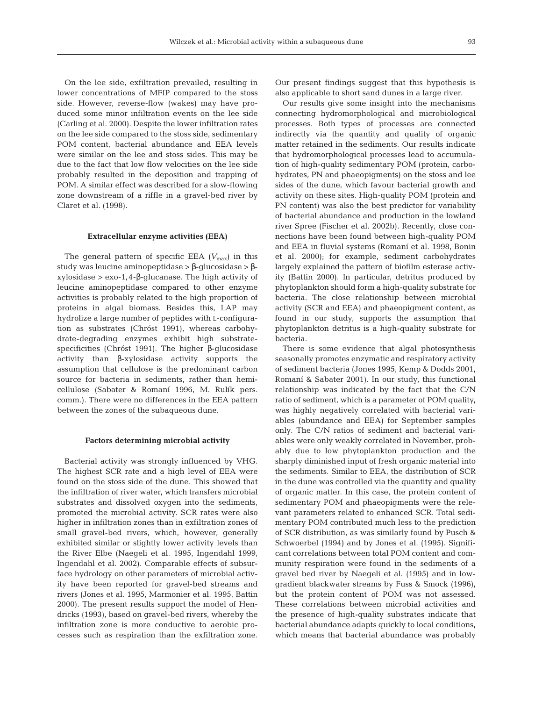On the lee side, exfiltration prevailed, resulting in lower concentrations of MFIP compared to the stoss side. However, reverse-flow (wakes) may have produced some minor infiltration events on the lee side (Carling et al. 2000). Despite the lower infiltration rates on the lee side compared to the stoss side, sedimentary POM content, bacterial abundance and EEA levels were similar on the lee and stoss sides. This may be due to the fact that low flow velocities on the lee side probably resulted in the deposition and trapping of POM. A similar effect was described for a slow-flowing zone downstream of a riffle in a gravel-bed river by Claret et al. (1998).

#### **Extracellular enzyme activities (EEA)**

The general pattern of specific EEA  $(V_{\text{max}})$  in this study was leucine aminopeptidase > β-glucosidase > βxylosidase > exo-1,4-β-glucanase. The high activity of leucine aminopeptidase compared to other enzyme activities is probably related to the high proportion of proteins in algal biomass. Besides this, LAP may hydrolize a large number of peptides with L-configuration as substrates (Chróst 1991), whereas carbohydrate-degrading enzymes exhibit high substratespecificities (Chróst 1991). The higher β-glucosidase activity than β-xylosidase activity supports the assumption that cellulose is the predominant carbon source for bacteria in sediments, rather than hemicellulose (Sabater & Romaní 1996, M. Rulík pers. comm.). There were no differences in the EEA pattern between the zones of the subaqueous dune.

#### **Factors determining microbial activity**

Bacterial activity was strongly influenced by VHG. The highest SCR rate and a high level of EEA were found on the stoss side of the dune. This showed that the infiltration of river water, which transfers microbial substrates and dissolved oxygen into the sediments, promoted the microbial activity. SCR rates were also higher in infiltration zones than in exfiltration zones of small gravel-bed rivers, which, however, generally exhibited similar or slightly lower activity levels than the River Elbe (Naegeli et al. 1995, Ingendahl 1999, Ingendahl et al. 2002). Comparable effects of subsurface hydrology on other parameters of microbial activity have been reported for gravel-bed streams and rivers (Jones et al. 1995, Marmonier et al. 1995, Battin 2000). The present results support the model of Hendricks (1993), based on gravel-bed rivers, whereby the infiltration zone is more conductive to aerobic processes such as respiration than the exfiltration zone.

Our present findings suggest that this hypothesis is also applicable to short sand dunes in a large river.

Our results give some insight into the mechanisms connecting hydromorphological and microbiological processes. Both types of processes are connected indirectly via the quantity and quality of organic matter retained in the sediments. Our results indicate that hydromorphological processes lead to accumulation of high-quality sedimentary POM (protein, carbohydrates, PN and phaeopigments) on the stoss and lee sides of the dune, which favour bacterial growth and activity on these sites. High-quality POM (protein and PN content) was also the best predictor for variability of bacterial abundance and production in the lowland river Spree (Fischer et al. 2002b). Recently, close connections have been found between high-quality POM and EEA in fluvial systems (Romaní et al. 1998, Bonin et al. 2000); for example, sediment carbohydrates largely explained the pattern of biofilm esterase activity (Battin 2000). In particular, detritus produced by phytoplankton should form a high-quality substrate for bacteria. The close relationship between microbial activity (SCR and EEA) and phaeopigment content, as found in our study, supports the assumption that phytoplankton detritus is a high-quality substrate for bacteria.

There is some evidence that algal photosynthesis seasonally promotes enzymatic and respiratory activity of sediment bacteria (Jones 1995, Kemp & Dodds 2001, Romaní & Sabater 2001). In our study, this functional relationship was indicated by the fact that the C/N ratio of sediment, which is a parameter of POM quality, was highly negatively correlated with bacterial variables (abundance and EEA) for September samples only. The C/N ratios of sediment and bacterial variables were only weakly correlated in November, probably due to low phytoplankton production and the sharply diminished input of fresh organic material into the sediments. Similar to EEA, the distribution of SCR in the dune was controlled via the quantity and quality of organic matter. In this case, the protein content of sedimentary POM and phaeopigments were the relevant parameters related to enhanced SCR. Total sedimentary POM contributed much less to the prediction of SCR distribution, as was similarly found by Pusch & Schwoerbel (1994) and by Jones et al. (1995). Significant correlations between total POM content and community respiration were found in the sediments of a gravel bed river by Naegeli et al. (1995) and in lowgradient blackwater streams by Fuss & Smock (1996), but the protein content of POM was not assessed. These correlations between microbial activities and the presence of high-quality substrates indicate that bacterial abundance adapts quickly to local conditions, which means that bacterial abundance was probably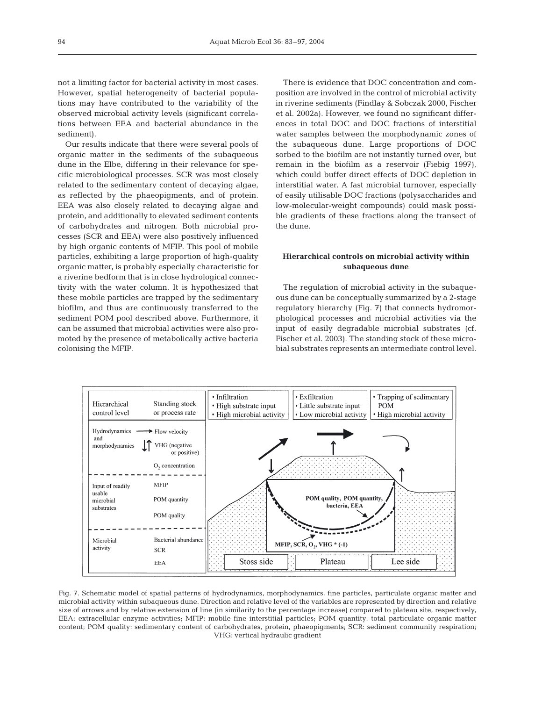not a limiting factor for bacterial activity in most cases. However, spatial heterogeneity of bacterial populations may have contributed to the variability of the observed microbial activity levels (significant correlations between EEA and bacterial abundance in the sediment).

Our results indicate that there were several pools of organic matter in the sediments of the subaqueous dune in the Elbe, differing in their relevance for specific microbiological processes. SCR was most closely related to the sedimentary content of decaying algae, as reflected by the phaeopigments, and of protein. EEA was also closely related to decaying algae and protein, and additionally to elevated sediment contents of carbohydrates and nitrogen. Both microbial processes (SCR and EEA) were also positively influenced by high organic contents of MFIP. This pool of mobile particles, exhibiting a large proportion of high-quality organic matter, is probably especially characteristic for a riverine bedform that is in close hydrological connectivity with the water column. It is hypothesized that these mobile particles are trapped by the sedimentary biofilm, and thus are continuously transferred to the sediment POM pool described above. Furthermore, it can be assumed that microbial activities were also promoted by the presence of metabolically active bacteria colonising the MFIP.

There is evidence that DOC concentration and composition are involved in the control of microbial activity in riverine sediments (Findlay & Sobczak 2000, Fischer et al. 2002a). However, we found no significant differences in total DOC and DOC fractions of interstitial water samples between the morphodynamic zones of the subaqueous dune. Large proportions of DOC sorbed to the biofilm are not instantly turned over, but remain in the biofilm as a reservoir (Fiebig 1997), which could buffer direct effects of DOC depletion in interstitial water. A fast microbial turnover, especially of easily utilisable DOC fractions (polysaccharides and low-molecular-weight compounds) could mask possible gradients of these fractions along the transect of the dune.

# **Hierarchical controls on microbial activity within subaqueous dune**

The regulation of microbial activity in the subaqueous dune can be conceptually summarized by a 2-stage regulatory hierarchy (Fig. 7) that connects hydromorphological processes and microbial activities via the input of easily degradable microbial substrates (cf. Fischer et al. 2003). The standing stock of these microbial substrates represents an intermediate control level.



Fig. 7. Schematic model of spatial patterns of hydrodynamics, morphodynamics, fine particles, particulate organic matter and microbial activity within subaqueous dune. Direction and relative level of the variables are represented by direction and relative size of arrows and by relative extension of line (in similarity to the percentage increase) compared to plateau site, respectively, EEA: extracellular enzyme activities; MFIP: mobile fine interstitial particles; POM quantity: total particulate organic matter content; POM quality: sedimentary content of carbohydrates, protein, phaeopigments; SCR: sediment community respiration; VHG: vertical hydraulic gradient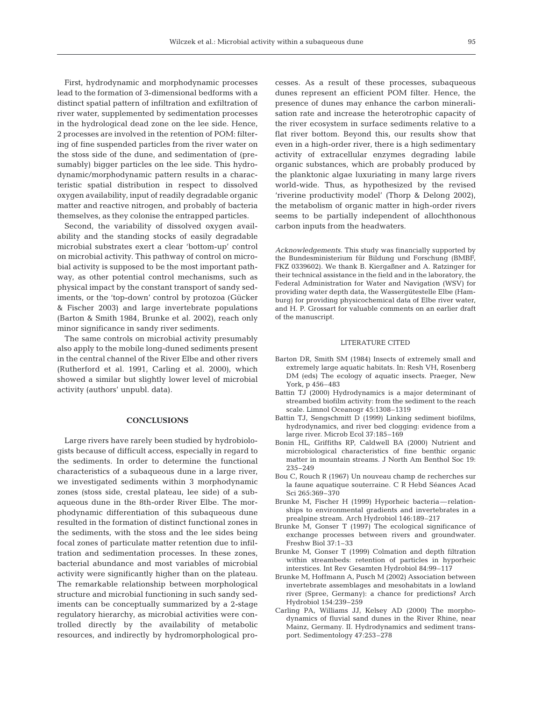First, hydrodynamic and morphodynamic processes lead to the formation of 3-dimensional bedforms with a distinct spatial pattern of infiltration and exfiltration of river water, supplemented by sedimentation processes in the hydrological dead zone on the lee side. Hence, 2 processes are involved in the retention of POM: filtering of fine suspended particles from the river water on the stoss side of the dune, and sedimentation of (presumably) bigger particles on the lee side. This hydrodynamic/morphodynamic pattern results in a characteristic spatial distribution in respect to dissolved oxygen availability, input of readily degradable organic matter and reactive nitrogen, and probably of bacteria themselves, as they colonise the entrapped particles.

Second, the variability of dissolved oxygen availability and the standing stocks of easily degradable microbial substrates exert a clear 'bottom-up' control on microbial activity. This pathway of control on microbial activity is supposed to be the most important pathway, as other potential control mechanisms, such as physical impact by the constant transport of sandy sediments, or the 'top-down' control by protozoa (Gücker & Fischer 2003) and large invertebrate populations (Barton & Smith 1984, Brunke et al. 2002), reach only minor significance in sandy river sediments.

The same controls on microbial activity presumably also apply to the mobile long-duned sediments present in the central channel of the River Elbe and other rivers (Rutherford et al. 1991, Carling et al. 2000), which showed a similar but slightly lower level of microbial activity (authors' unpubl. data).

#### **CONCLUSIONS**

Large rivers have rarely been studied by hydrobiologists because of difficult access, especially in regard to the sediments. In order to determine the functional characteristics of a subaqueous dune in a large river, we investigated sediments within 3 morphodynamic zones (stoss side, crestal plateau, lee side) of a subaqueous dune in the 8th-order River Elbe. The morphodynamic differentiation of this subaqueous dune resulted in the formation of distinct functional zones in the sediments, with the stoss and the lee sides being focal zones of particulate matter retention due to infiltration and sedimentation processes. In these zones, bacterial abundance and most variables of microbial activity were significantly higher than on the plateau. The remarkable relationship between morphological structure and microbial functioning in such sandy sediments can be conceptually summarized by a 2-stage regulatory hierarchy, as microbial activities were controlled directly by the availability of metabolic resources, and indirectly by hydromorphological pro-

cesses. As a result of these processes, subaqueous dunes represent an efficient POM filter. Hence, the presence of dunes may enhance the carbon mineralisation rate and increase the heterotrophic capacity of the river ecosystem in surface sediments relative to a flat river bottom. Beyond this, our results show that even in a high-order river, there is a high sedimentary activity of extracellular enzymes degrading labile organic substances, which are probably produced by the planktonic algae luxuriating in many large rivers world-wide. Thus, as hypothesized by the revised 'riverine productivity model' (Thorp & Delong 2002), the metabolism of organic matter in high-order rivers seems to be partially independent of allochthonous carbon inputs from the headwaters.

*Acknowledgements.* This study was financially supported by the Bundesministerium für Bildung und Forschung (BMBF, FKZ 0339602). We thank B. Kiergaßner and A. Ratzinger for their technical assistance in the field and in the laboratory, the Federal Administration for Water and Navigation (WSV) for providing water depth data, the Wassergütestelle Elbe (Hamburg) for providing physicochemical data of Elbe river water, and H. P. Grossart for valuable comments on an earlier draft of the manuscript.

### LITERATURE CITED

- Barton DR, Smith SM (1984) Insects of extremely small and extremely large aquatic habitats. In: Resh VH, Rosenberg DM (eds) The ecology of aquatic insects. Praeger, New York, p 456–483
- Battin TJ (2000) Hydrodynamics is a major determinant of streambed biofilm activity: from the sediment to the reach scale. Limnol Oceanogr 45:1308–1319
- Battin TJ, Sengschmitt D (1999) Linking sediment biofilms, hydrodynamics, and river bed clogging: evidence from a large river. Microb Ecol 37:185–169
- Bonin HL, Griffiths RP, Caldwell BA (2000) Nutrient and microbiological characteristics of fine benthic organic matter in mountain streams. J North Am Benthol Soc 19: 235–249
- Bou C, Rouch R (1967) Un nouveau champ de recherches sur la faune aquatique souterraine. C R Hebd Séances Acad Sci 265:369–370
- Brunke M, Fischer H (1999) Hyporheic bacteria—relationships to environmental gradients and invertebrates in a prealpine stream. Arch Hydrobiol 146:189–217
- Brunke M, Gonser T (1997) The ecological significance of exchange processes between rivers and groundwater. Freshw Biol 37:1–33
- Brunke M, Gonser T (1999) Colmation and depth filtration within streambeds: retention of particles in hyporheic interstices. Int Rev Gesamten Hydrobiol 84:99–117
- Brunke M, Hoffmann A, Pusch M (2002) Association between invertebrate assemblages and mesohabitats in a lowland river (Spree, Germany): a chance for predictions? Arch Hydrobiol 154:239–259
- Carling PA, Williams JJ, Kelsey AD (2000) The morphodynamics of fluvial sand dunes in the River Rhine, near Mainz, Germany. II. Hydrodynamics and sediment transport. Sedimentology 47:253–278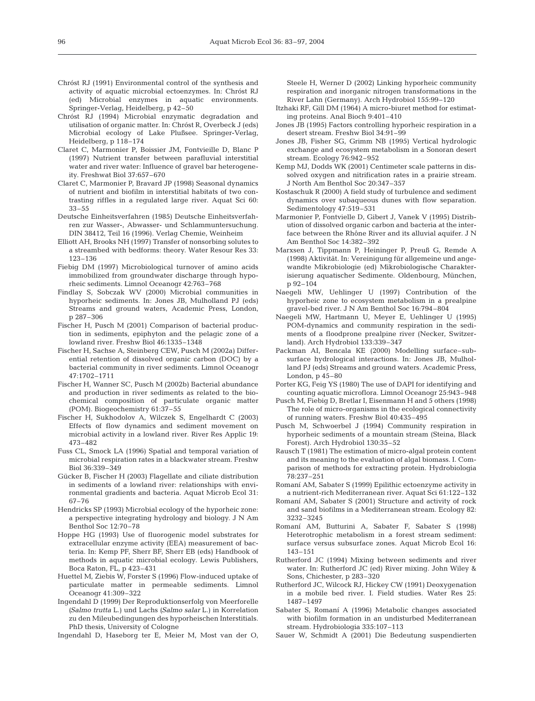- Chróst RJ (1991) Environmental control of the synthesis and activity of aquatic microbial ectoenzymes. In: Chróst RJ (ed) Microbial enzymes in aquatic environments. Springer-Verlag, Heidelberg, p 42–50
- Chróst RJ (1994) Microbial enzymatic degradation and utilisation of organic matter. In: Chróst R, Overbeck J (eds) Microbial ecology of Lake Plußsee. Springer-Verlag, Heidelberg, p 118–174
- Claret C, Marmonier P, Boissier JM, Fontvieille D, Blanc P (1997) Nutrient transfer between parafluvial interstitial water and river water: Influence of gravel bar heterogeneity. Freshwat Biol 37:657–670
- Claret C, Marmonier P, Bravard JP (1998) Seasonal dynamics of nutrient and biofilm in interstitial habitats of two contrasting riffles in a regulated large river. Aquat Sci 60: 33–55
- Deutsche Einheitsverfahren (1985) Deutsche Einheitsverfahren zur Wasser-, Abwasser- und Schlammuntersuchung. DIN 38412, Teil 16 (1996). Verlag Chemie, Weinheim
- Elliott AH, Brooks NH (1997) Transfer of nonsorbing solutes to a streambed with bedforms: theory. Water Resour Res 33: 123–136
- Fiebig DM (1997) Microbiological turnover of amino acids immobilized from groundwater discharge through hyporheic sediments. Limnol Oceanogr 42:763–768
- Findlay S, Sobczak WV (2000) Microbial communities in hyporheic sediments. In: Jones JB, Mulholland PJ (eds) Streams and ground waters, Academic Press, London, p 287–306
- Fischer H, Pusch M (2001) Comparison of bacterial production in sediments, epiphyton and the pelagic zone of a lowland river. Freshw Biol 46:1335–1348
- Fischer H, Sachse A, Steinberg CEW, Pusch M (2002a) Differential retention of dissolved organic carbon (DOC) by a bacterial community in river sediments. Limnol Oceanogr 47:1702–1711
- Fischer H, Wanner SC, Pusch M (2002b) Bacterial abundance and production in river sediments as related to the biochemical composition of particulate organic matter (POM). Biogeochemistry 61:37–55
- Fischer H, Sukhodolov A, Wilczek S, Engelhardt C (2003) Effects of flow dynamics and sediment movement on microbial activity in a lowland river. River Res Applic 19: 473–482
- Fuss CL, Smock LA (1996) Spatial and temporal variation of microbial respiration rates in a blackwater stream. Freshw Biol 36:339–349
- Gücker B, Fischer H (2003) Flagellate and ciliate distribution in sediments of a lowland river: relationships with environmental gradients and bacteria. Aquat Microb Ecol 31: 67–76
- Hendricks SP (1993) Microbial ecology of the hyporheic zone: a perspective integrating hydrology and biology. J N Am Benthol Soc 12:70–78
- Hoppe HG (1993) Use of fluorogenic model substrates for extracellular enzyme activity (EEA) measurement of bacteria. In: Kemp PF, Sherr BF, Sherr EB (eds) Handbook of methods in aquatic microbial ecology. Lewis Publishers, Boca Raton, FL, p 423–431
- Huettel M, Ziebis W, Forster S (1996) Flow-induced uptake of particulate matter in permeable sediments. Limnol Oceanogr 41:309–322
- Ingendahl D (1999) Der Reproduktionserfolg von Meerforelle *(Salmo trutta* L.) und Lachs *(Salmo salar* L.) in Korrelation zu den Mileubedingungen des hyporheischen Interstitials. PhD thesis, University of Cologne
- Ingendahl D, Haseborg ter E, Meier M, Most van der O,

Steele H, Werner D (2002) Linking hyporheic community respiration and inorganic nitrogen transformations in the River Lahn (Germany). Arch Hydrobiol 155:99–120

- Itzhaki RF, Gill DM (1964) A micro-biuret method for estimating proteins. Anal Bioch 9:401–410
- Jones JB (1995) Factors controlling hyporheic respiration in a desert stream. Freshw Biol 34:91–99
- Jones JB, Fisher SG, Grimm NB (1995) Vertical hydrologic exchange and ecosystem metabolism in a Sonoran desert stream. Ecology 76:942–952
- Kemp MJ, Dodds WK (2001) Centimeter scale patterns in dissolved oxygen and nitrification rates in a prairie stream. J North Am Benthol Soc 20:347–357
- Kostaschuk R (2000) A field study of turbulence and sediment dynamics over subaqueous dunes with flow separation. Sedimentology 47:519–531
- Marmonier P, Fontvielle D, Gibert J, Vanek V (1995) Distribution of dissolved organic carbon and bacteria at the interface between the Rhône River and its alluvial aquifer. J N Am Benthol Soc 14:382–392
- Marxsen J, Tippmann P, Heininger P, Preuß G, Remde A (1998) Aktivität. In: Vereinigung für allgemeine und angewandte Mikrobiologie (ed) Mikrobiologische Charakterisierung aquatischer Sedimente. Oldenbourg, München, p 92–104
- Naegeli MW, Uehlinger U (1997) Contribution of the hyporheic zone to ecosystem metabolism in a prealpine gravel-bed river. J N Am Benthol Soc 16:794–804
- Naegeli MW, Hartmann U, Meyer E, Uehlinger U (1995) POM-dynamics and community respiration in the sediments of a floodprone prealpine river (Necker, Switzerland). Arch Hydrobiol 133:339–347
- Packman AI, Bencala KE (2000) Modelling surface–subsurface hydrological interactions. In: Jones JB, Mulholland PJ (eds) Streams and ground waters. Academic Press, London, p 45–80
- Porter KG, Feig YS (1980) The use of DAPI for identifying and counting aquatic microflora. Limnol Oceanogr 25:943–948
- Pusch M, Fiebig D, Bretlar I, Eisenmann H and 5 others (1998) The role of micro-organisms in the ecological connectivity of running waters. Freshw Biol 40:435–495
- Pusch M, Schwoerbel J (1994) Community respiration in hyporheic sediments of a mountain stream (Steina, Black Forest). Arch Hydrobiol 130:35–52
- Rausch T (1981) The estimation of micro-algal protein content and its meaning to the evaluation of algal biomass. I. Comparison of methods for extracting protein. Hydrobiologia 78:237–251
- Romaní AM, Sabater S (1999) Epilithic ectoenzyme activity in a nutrient-rich Mediterranean river. Aquat Sci 61:122–132
- Romaní AM, Sabater S (2001) Structure and activity of rock and sand biofilms in a Mediterranean stream. Ecology 82: 3232–3245
- Romaní AM, Butturini A, Sabater F, Sabater S (1998) Heterotrophic metabolism in a forest stream sediment: surface versus subsurface zones. Aquat Microb Ecol 16: 143–151
- Rutherford JC (1994) Mixing between sediments and river water. In: Rutherford JC (ed) River mixing. John Wiley & Sons, Chichester, p 283–320
- Rutherford JC, Wilcock RJ, Hickey CW (1991) Deoxygenation in a mobile bed river. I. Field studies. Water Res 25: 1487–1497
- Sabater S, Romaní A (1996) Metabolic changes associated with biofilm formation in an undisturbed Mediterranean stream. Hydrobiologia 335:107–113
- Sauer W, Schmidt A (2001) Die Bedeutung suspendierten